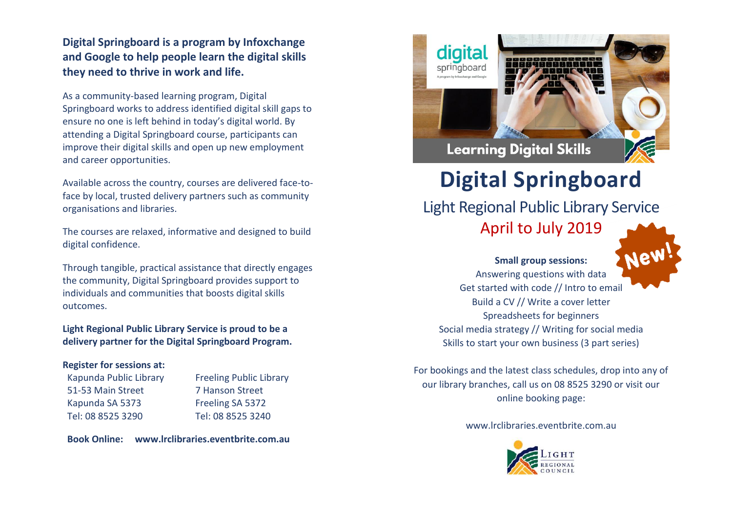## **Digital Springboard is a program by Infoxchange and Google to help people learn the digital skills they need to thrive in work and life.**

As a community-based learning program, Digital Springboard works to address identified digital skill gaps to ensure no one is left behind in today's digital world. By attending a Digital Springboard course, participants can improve their digital skills and open up new employment and career opportunities.

Available across the country, courses are delivered face-toface by local, trusted delivery partners such as community organisations and libraries.

The courses are relaxed, informative and designed to build digital confidence.

Through tangible, practical assistance that directly engages the community, Digital Springboard provides support to individuals and communities that boosts digital skills outcomes.

**Light Regional Public Library Service is proud to be a delivery partner for the Digital Springboard Program.**

## **Register for sessions at:**

Kapunda Public Library 51-53 Main Street Kapunda SA 5373 Tel: 08 8525 3290

Freeling Public Library 7 Hanson Street Freeling SA 5372 Tel: 08 8525 3240

**Book Online: www.lrclibraries.eventbrite.com.au**



## **Digital Springboard**

Light Regional Public Library Service

April to July 2019



**Small group sessions:** Answering questions with data Get started with code // Intro to email Build a CV // Write a cover letter Spreadsheets for beginners Social media strategy // Writing for social media Skills to start your own business (3 part series)

For bookings and the latest class schedules, drop into any of our library branches, call us on 08 8525 3290 or visit our online booking page:

www.lrclibraries.eventbrite.com.au